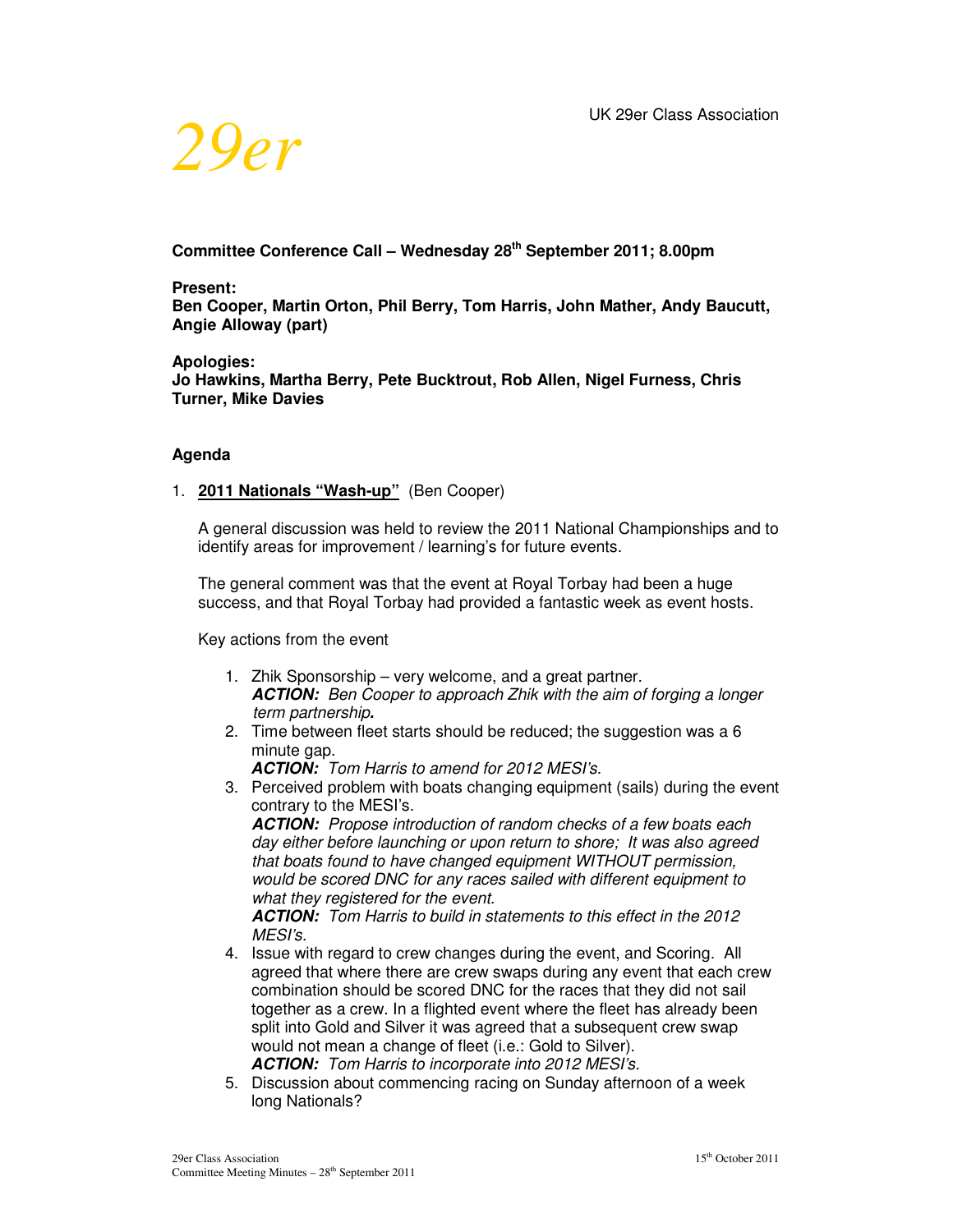

# **Committee Conference Call – Wednesday 28th September 2011; 8.00pm**

#### **Present:**

**Ben Cooper, Martin Orton, Phil Berry, Tom Harris, John Mather, Andy Baucutt, Angie Alloway (part)** 

#### **Apologies:**

**Jo Hawkins, Martha Berry, Pete Bucktrout, Rob Allen, Nigel Furness, Chris Turner, Mike Davies** 

#### **Agenda**

#### 1. **2011 Nationals "Wash-up"** (Ben Cooper)

A general discussion was held to review the 2011 National Championships and to identify areas for improvement / learning's for future events.

The general comment was that the event at Royal Torbay had been a huge success, and that Royal Torbay had provided a fantastic week as event hosts.

Key actions from the event

- 1. Zhik Sponsorship very welcome, and a great partner. *ACTION: Ben Cooper to approach Zhik with the aim of forging a longer term partnership.*
- 2. Time between fleet starts should be reduced; the suggestion was a 6 minute gap.

*ACTION: Tom Harris to amend for 2012 MESI's.* 

3. Perceived problem with boats changing equipment (sails) during the event contrary to the MESI's.

*ACTION: Propose introduction of random checks of a few boats each day either before launching or upon return to shore; It was also agreed that boats found to have changed equipment WITHOUT permission, would be scored DNC for any races sailed with different equipment to what they registered for the event.* 

*ACTION: Tom Harris to build in statements to this effect in the 2012 MESI's.*

- 4. Issue with regard to crew changes during the event, and Scoring. All agreed that where there are crew swaps during any event that each crew combination should be scored DNC for the races that they did not sail together as a crew. In a flighted event where the fleet has already been split into Gold and Silver it was agreed that a subsequent crew swap would not mean a change of fleet (i.e.: Gold to Silver). *ACTION: Tom Harris to incorporate into 2012 MESI's.*
- 5. Discussion about commencing racing on Sunday afternoon of a week long Nationals?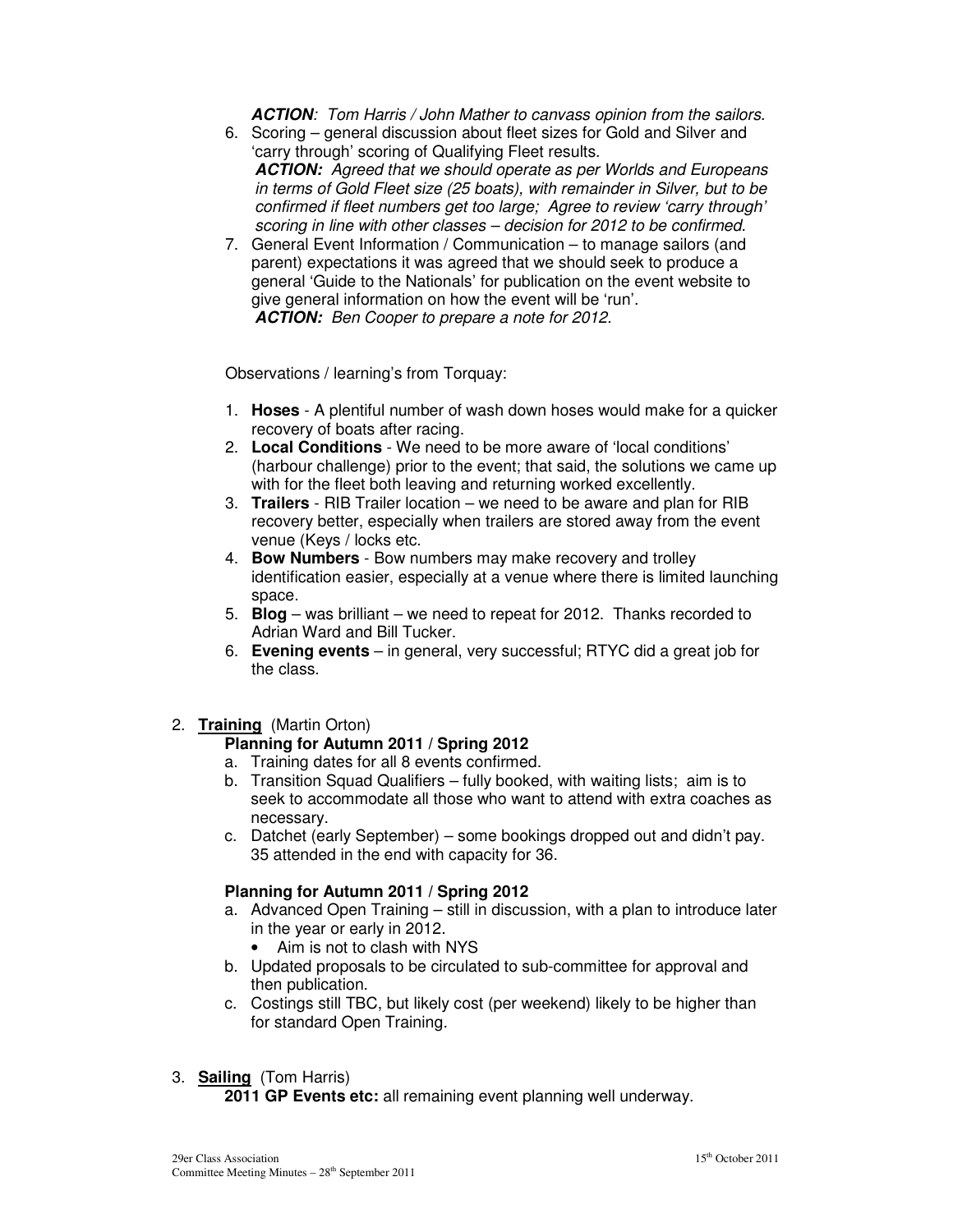*ACTION: Tom Harris / John Mather to canvass opinion from the sailors.* 

- 6. Scoring general discussion about fleet sizes for Gold and Silver and 'carry through' scoring of Qualifying Fleet results. *ACTION: Agreed that we should operate as per Worlds and Europeans in terms of Gold Fleet size (25 boats), with remainder in Silver, but to be confirmed if fleet numbers get too large; Agree to review 'carry through' scoring in line with other classes – decision for 2012 to be confirmed.*
- 7. General Event Information / Communication to manage sailors (and parent) expectations it was agreed that we should seek to produce a general 'Guide to the Nationals' for publication on the event website to give general information on how the event will be 'run'. *ACTION: Ben Cooper to prepare a note for 2012.*

Observations / learning's from Torquay:

- 1. **Hoses** A plentiful number of wash down hoses would make for a quicker recovery of boats after racing.
- 2. **Local Conditions** We need to be more aware of 'local conditions' (harbour challenge) prior to the event; that said, the solutions we came up with for the fleet both leaving and returning worked excellently.
- 3. **Trailers** RIB Trailer location we need to be aware and plan for RIB recovery better, especially when trailers are stored away from the event venue (Keys / locks etc.
- 4. **Bow Numbers** Bow numbers may make recovery and trolley identification easier, especially at a venue where there is limited launching space.
- 5. **Blog** was brilliant we need to repeat for 2012. Thanks recorded to Adrian Ward and Bill Tucker.
- 6. **Evening events**  in general, very successful; RTYC did a great job for the class.
- 2. **Training** (Martin Orton)

## **Planning for Autumn 2011 / Spring 2012**

- a. Training dates for all 8 events confirmed.
- b. Transition Squad Qualifiers fully booked, with waiting lists; aim is to seek to accommodate all those who want to attend with extra coaches as necessary.
- c. Datchet (early September) some bookings dropped out and didn't pay. 35 attended in the end with capacity for 36.

## **Planning for Autumn 2011 / Spring 2012**

- a. Advanced Open Training still in discussion, with a plan to introduce later in the year or early in 2012.
	- Aim is not to clash with NYS
- b. Updated proposals to be circulated to sub-committee for approval and then publication.
- c. Costings still TBC, but likely cost (per weekend) likely to be higher than for standard Open Training.
- 3. **Sailing** (Tom Harris)

**2011 GP Events etc:** all remaining event planning well underway.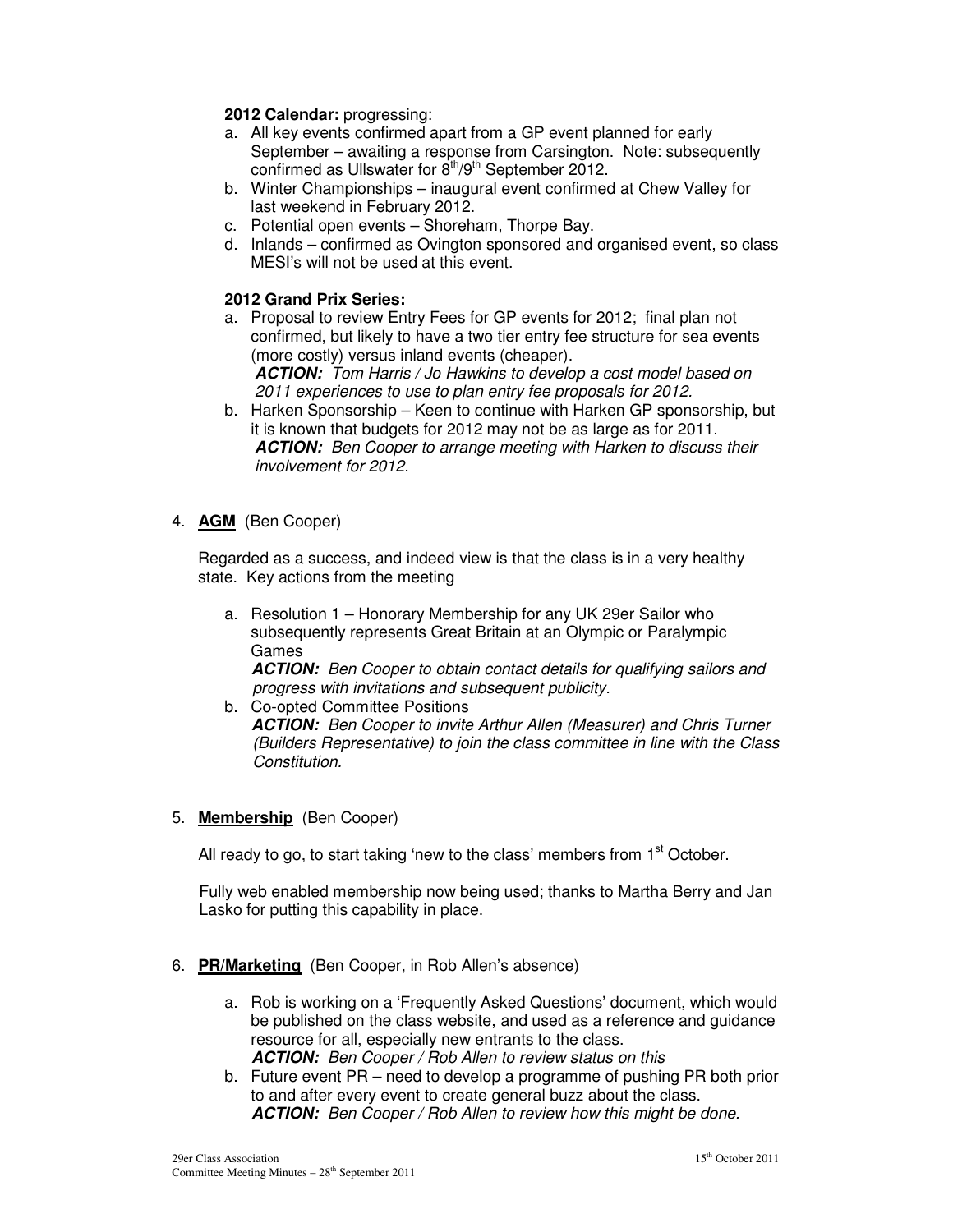## **2012 Calendar:** progressing:

- a. All key events confirmed apart from a GP event planned for early September – awaiting a response from Carsington. Note: subsequently confirmed as Ullswater for  $8<sup>th</sup>/9<sup>th</sup>$  September 2012.
- b. Winter Championships inaugural event confirmed at Chew Valley for last weekend in February 2012.
- c. Potential open events Shoreham, Thorpe Bay.
- d. Inlands confirmed as Ovington sponsored and organised event, so class MESI's will not be used at this event.

## **2012 Grand Prix Series:**

a. Proposal to review Entry Fees for GP events for 2012; final plan not confirmed, but likely to have a two tier entry fee structure for sea events (more costly) versus inland events (cheaper).

*ACTION: Tom Harris / Jo Hawkins to develop a cost model based on 2011 experiences to use to plan entry fee proposals for 2012.* 

b. Harken Sponsorship – Keen to continue with Harken GP sponsorship, but it is known that budgets for 2012 may not be as large as for 2011. *ACTION: Ben Cooper to arrange meeting with Harken to discuss their involvement for 2012.* 

## 4. **AGM** (Ben Cooper)

Regarded as a success, and indeed view is that the class is in a very healthy state. Key actions from the meeting

- a. Resolution 1 Honorary Membership for any UK 29er Sailor who subsequently represents Great Britain at an Olympic or Paralympic Games *ACTION: Ben Cooper to obtain contact details for qualifying sailors and progress with invitations and subsequent publicity.*
- b. Co-opted Committee Positions *ACTION: Ben Cooper to invite Arthur Allen (Measurer) and Chris Turner (Builders Representative) to join the class committee in line with the Class Constitution.*

## 5. **Membership** (Ben Cooper)

All ready to go, to start taking 'new to the class' members from  $1<sup>st</sup>$  October.

Fully web enabled membership now being used; thanks to Martha Berry and Jan Lasko for putting this capability in place.

- 6. **PR/Marketing** (Ben Cooper, in Rob Allen's absence)
	- a. Rob is working on a 'Frequently Asked Questions' document, which would be published on the class website, and used as a reference and guidance resource for all, especially new entrants to the class. *ACTION: Ben Cooper / Rob Allen to review status on this*
	- b. Future event PR need to develop a programme of pushing PR both prior to and after every event to create general buzz about the class. *ACTION: Ben Cooper / Rob Allen to review how this might be done.*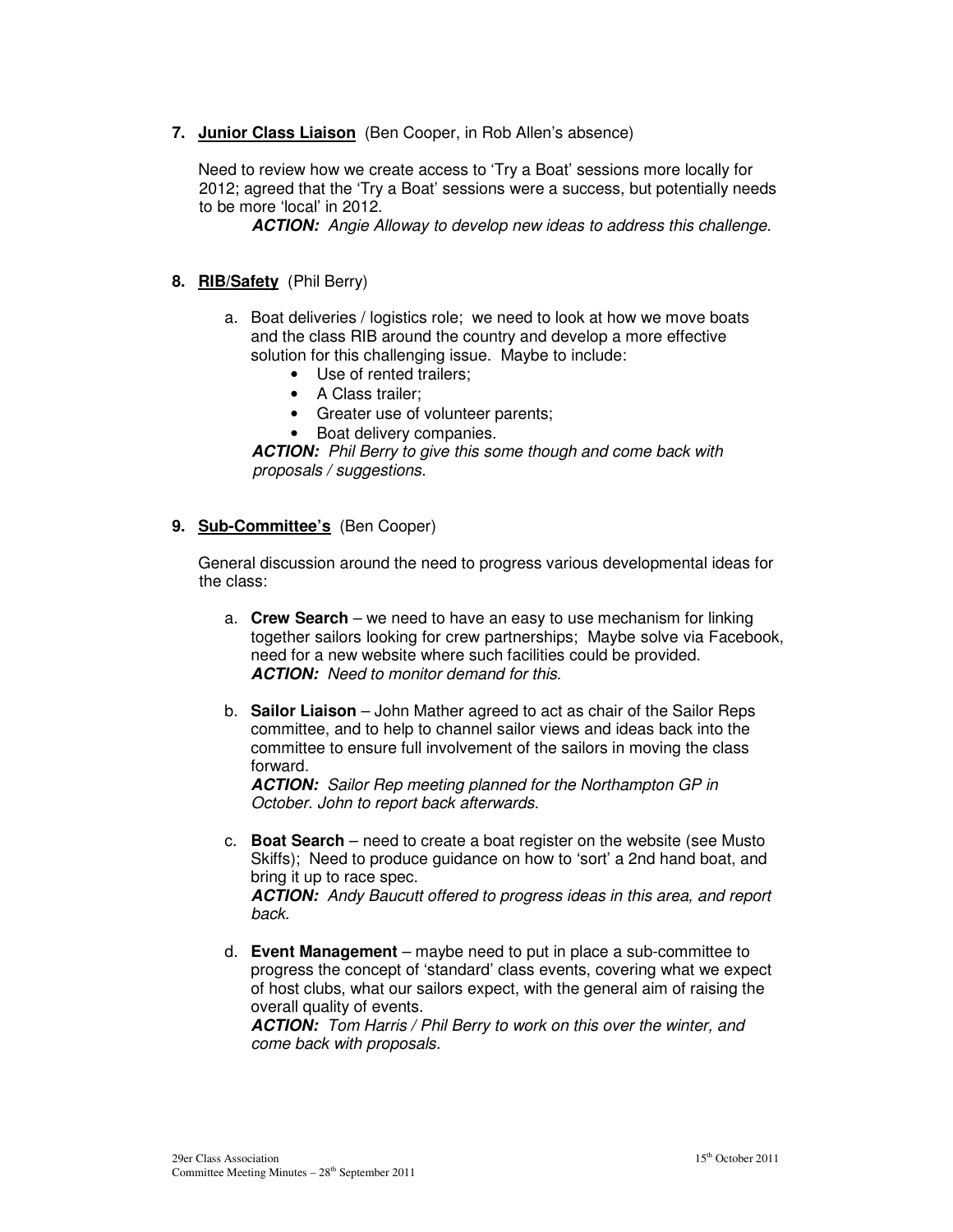**7. Junior Class Liaison** (Ben Cooper, in Rob Allen's absence)

Need to review how we create access to 'Try a Boat' sessions more locally for 2012; agreed that the 'Try a Boat' sessions were a success, but potentially needs to be more 'local' in 2012.

*ACTION: Angie Alloway to develop new ideas to address this challenge.* 

## **8. RIB/Safety** (Phil Berry)

- a. Boat deliveries / logistics role; we need to look at how we move boats and the class RIB around the country and develop a more effective solution for this challenging issue. Maybe to include:
	- Use of rented trailers:
	- A Class trailer;
	- Greater use of volunteer parents;
	- Boat delivery companies.

*ACTION: Phil Berry to give this some though and come back with proposals / suggestions.* 

#### **9. Sub-Committee's** (Ben Cooper)

General discussion around the need to progress various developmental ideas for the class:

- a. **Crew Search** we need to have an easy to use mechanism for linking together sailors looking for crew partnerships; Maybe solve via Facebook, need for a new website where such facilities could be provided. *ACTION: Need to monitor demand for this.*
- b. **Sailor Liaison** John Mather agreed to act as chair of the Sailor Reps committee, and to help to channel sailor views and ideas back into the committee to ensure full involvement of the sailors in moving the class forward.

*ACTION: Sailor Rep meeting planned for the Northampton GP in October. John to report back afterwards.* 

c. **Boat Search** – need to create a boat register on the website (see Musto Skiffs); Need to produce guidance on how to 'sort' a 2nd hand boat, and bring it up to race spec. *ACTION: Andy Baucutt offered to progress ideas in this area, and report* 

*back.* 

d. **Event Management** – maybe need to put in place a sub-committee to progress the concept of 'standard' class events, covering what we expect of host clubs, what our sailors expect, with the general aim of raising the overall quality of events.

*ACTION: Tom Harris / Phil Berry to work on this over the winter, and come back with proposals.*